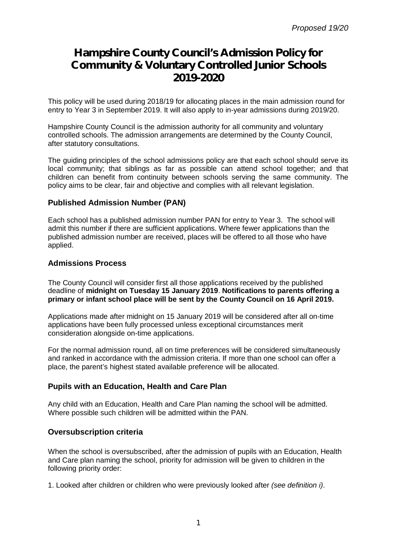# **Hampshire County Council's Admission Policy for Community & Voluntary Controlled Junior Schools 2019-2020**

This policy will be used during 2018/19 for allocating places in the main admission round for entry to Year 3 in September 2019. It will also apply to in-year admissions during 2019/20.

Hampshire County Council is the admission authority for all community and voluntary controlled schools. The admission arrangements are determined by the County Council, after statutory consultations.

The guiding principles of the school admissions policy are that each school should serve its local community; that siblings as far as possible can attend school together; and that children can benefit from continuity between schools serving the same community. The policy aims to be clear, fair and objective and complies with all relevant legislation.

#### **Published Admission Number (PAN)**

Each school has a published admission number PAN for entry to Year 3. The school will admit this number if there are sufficient applications. Where fewer applications than the published admission number are received, places will be offered to all those who have applied.

#### **Admissions Process**

The County Council will consider first all those applications received by the published deadline of **midnight on Tuesday 15 January 2019**. **Notifications to parents offering a primary or infant school place will be sent by the County Council on 16 April 2019.**

Applications made after midnight on 15 January 2019 will be considered after all on-time applications have been fully processed unless exceptional circumstances merit consideration alongside on-time applications.

For the normal admission round, all on time preferences will be considered simultaneously and ranked in accordance with the admission criteria. If more than one school can offer a place, the parent's highest stated available preference will be allocated.

## **Pupils with an Education, Health and Care Plan**

Any child with an Education, Health and Care Plan naming the school will be admitted. Where possible such children will be admitted within the PAN.

## **Oversubscription criteria**

When the school is oversubscribed, after the admission of pupils with an Education, Health and Care plan naming the school, priority for admission will be given to children in the following priority order:

1. Looked after children or children who were previously looked after *(see definition i)*.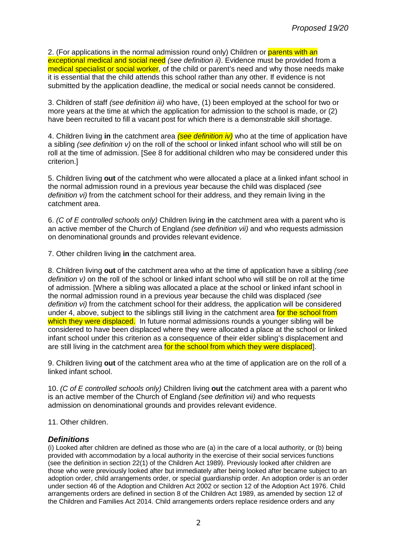2. (For applications in the normal admission round only) Children or parents with an exceptional medical and social need *(see definition ii)*. Evidence must be provided from a medical specialist or social worker, of the child or parent's need and why those needs make it is essential that the child attends this school rather than any other. If evidence is not submitted by the application deadline, the medical or social needs cannot be considered.

3. Children of staff *(see definition iii)* who have, (1) been employed at the school for two or more years at the time at which the application for admission to the school is made, or (2) have been recruited to fill a vacant post for which there is a demonstrable skill shortage.

4. Children living **in** the catchment area *(see definition iv)* who at the time of application have a sibling *(see definition v)* on the roll of the school or linked infant school who will still be on roll at the time of admission. [See 8 for additional children who may be considered under this criterion.]

5. Children living **out** of the catchment who were allocated a place at a linked infant school in the normal admission round in a previous year because the child was displaced *(see definition vi)* from the catchment school for their address, and they remain living in the catchment area.

6. *(C of E controlled schools only)* Children living **in** the catchment area with a parent who is an active member of the Church of England *(see definition vii)* and who requests admission on denominational grounds and provides relevant evidence.

7. Other children living **in** the catchment area.

8. Children living **out** of the catchment area who at the time of application have a sibling *(see definition v)* on the roll of the school or linked infant school who will still be on roll at the time of admission. [Where a sibling was allocated a place at the school or linked infant school in the normal admission round in a previous year because the child was displaced *(see definition vi)* from the catchment school for their address, the application will be considered under 4, above, subject to the siblings still living in the catchment area for the school from which they were displaced. In future normal admissions rounds a younger sibling will be considered to have been displaced where they were allocated a place at the school or linked infant school under this criterion as a consequence of their elder sibling's displacement and are still living in the catchment area for the school from which they were displaced.

9. Children living **out** of the catchment area who at the time of application are on the roll of a linked infant school.

10. *(C of E controlled schools only)* Children living **out** the catchment area with a parent who is an active member of the Church of England *(see definition vii)* and who requests admission on denominational grounds and provides relevant evidence.

11. Other children.

#### *Definitions*

(i) Looked after children are defined as those who are (a) in the care of a local authority, or (b) being provided with accommodation by a local authority in the exercise of their social services functions (see the definition in section 22(1) of the Children Act 1989). Previously looked after children are those who were previously looked after but immediately after being looked after became subject to an adoption order, child arrangements order, or special guardianship order. An adoption order is an order under section 46 of the Adoption and Children Act 2002 or section 12 of the Adoption Act 1976. Child arrangements orders are defined in section 8 of the Children Act 1989, as amended by section 12 of the Children and Families Act 2014. Child arrangements orders replace residence orders and any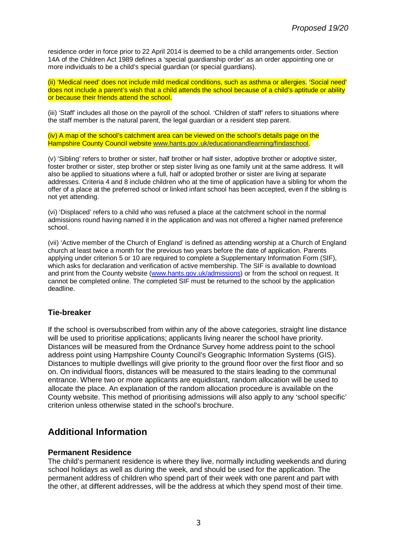residence order in force prior to 22 April 2014 is deemed to be a child arrangements order. Section 14A of the Children Act 1989 defines a 'special guardianship order' as an order appointing one or more individuals to be a child's special guardian (or special guardians).

(ii) 'Medical need' does not include mild medical conditions, such as asthma or allergies. 'Social need' does not include a parent's wish that a child attends the school because of a child's aptitude or ability or because their friends attend the school.

(iii) 'Staff' includes all those on the payroll of the school. 'Children of staff' refers to situations where the staff member is the natural parent, the legal guardian or a resident step parent.

(iv) A map of the school's catchment area can be viewed on the school's details page on the Hampshire County Council website [www.hants.gov.uk/educationandlearning/findaschool.](http://www.hants.gov.uk/educationandlearning/findaschool.)

(v) 'Sibling' refers to brother or sister, half brother or half sister, adoptive brother or adoptive sister, foster brother or sister, step brother or step sister living as one family unit at the same address. It will also be applied to situations where a full, half or adopted brother or sister are living at separate addresses. Criteria 4 and 8 include children who at the time of application have a sibling for whom the offer of a place at the preferred school or linked infant school has been accepted, even if the sibling is not yet attending.

(vi) 'Displaced' refers to a child who was refused a place at the catchment school in the normal admissions round having named it in the application and was not offered a higher named preference school.

(vii) 'Active member of the Church of England' is defined as attending worship at a Church of England church at least twice a month for the previous two years before the date of application. Parents applying under criterion 5 or 10 are required to complete a Supplementary Information Form (SIF), which asks for declaration and verification of active membership. The SIF is available to download and print from the County website ([www.hants.gov.uk/admissions\)](http://www.hants.gov.uk/admissions)) or from the school on request. It cannot be completed online. The completed SIF must be returned to the school by the application deadline.

#### **Tie-breaker**

If the school is oversubscribed from within any of the above categories, straight line distance will be used to prioritise applications; applicants living nearer the school have priority. Distances will be measured from the Ordnance Survey home address point to the school address point using Hampshire County Council's Geographic Information Systems (GIS). Distances to multiple dwellings will give priority to the ground floor over the first floor and so on. On individual floors, distances will be measured to the stairs leading to the communal entrance. Where two or more applicants are equidistant, random allocation will be used to allocate the place. An explanation of the random allocation procedure is available on the County website. This method of prioritising admissions will also apply to any 'school specific' criterion unless otherwise stated in the school's brochure.

## **Additional Information**

#### **Permanent Residence**

The child's permanent residence is where they live, normally including weekends and during school holidays as well as during the week, and should be used for the application. The permanent address of children who spend part of their week with one parent and part with the other, at different addresses, will be the address at which they spend most of their time.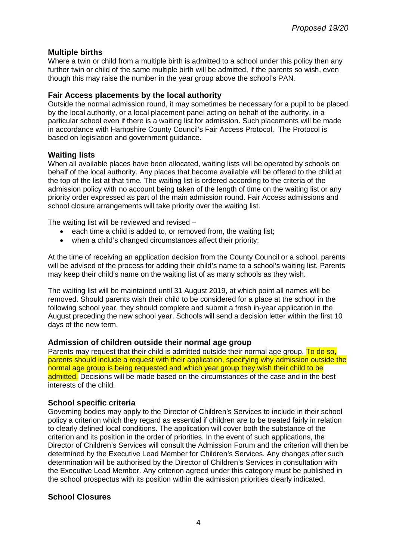## **Multiple births**

Where a twin or child from a multiple birth is admitted to a school under this policy then any further twin or child of the same multiple birth will be admitted, if the parents so wish, even though this may raise the number in the year group above the school's PAN.

## **Fair Access placements by the local authority**

Outside the normal admission round, it may sometimes be necessary for a pupil to be placed by the local authority, or a local placement panel acting on behalf of the authority, in a particular school even if there is a waiting list for admission. Such placements will be made in accordance with Hampshire County Council's Fair Access Protocol. The Protocol is based on legislation and government guidance.

## **Waiting lists**

When all available places have been allocated, waiting lists will be operated by schools on behalf of the local authority. Any places that become available will be offered to the child at the top of the list at that time. The waiting list is ordered according to the criteria of the admission policy with no account being taken of the length of time on the waiting list or any priority order expressed as part of the main admission round. Fair Access admissions and school closure arrangements will take priority over the waiting list.

The waiting list will be reviewed and revised –

- $\bullet$  each time a child is added to, or removed from, the waiting list;
- when a child's changed circumstances affect their priority;

At the time of receiving an application decision from the County Council or a school, parents will be advised of the process for adding their child's name to a school's waiting list. Parents may keep their child's name on the waiting list of as many schools as they wish.

The waiting list will be maintained until 31 August 2019, at which point all names will be removed. Should parents wish their child to be considered for a place at the school in the following school year, they should complete and submit a fresh in-year application in the August preceding the new school year. Schools will send a decision letter within the first 10 days of the new term.

## **Admission of children outside their normal age group**

Parents may request that their child is admitted outside their normal age group. To do so, parents should include a request with their application, specifying why admission outside the normal age group is being requested and which year group they wish their child to be admitted. Decisions will be made based on the circumstances of the case and in the best interests of the child.

## **School specific criteria**

Governing bodies may apply to the Director of Children's Services to include in their school policy a criterion which they regard as essential if children are to be treated fairly in relation to clearly defined local conditions. The application will cover both the substance of the criterion and its position in the order of priorities. In the event of such applications, the Director of Children's Services will consult the Admission Forum and the criterion will then be determined by the Executive Lead Member for Children's Services. Any changes after such determination will be authorised by the Director of Children's Services in consultation with the Executive Lead Member. Any criterion agreed under this category must be published in the school prospectus with its position within the admission priorities clearly indicated.

## **School Closures**